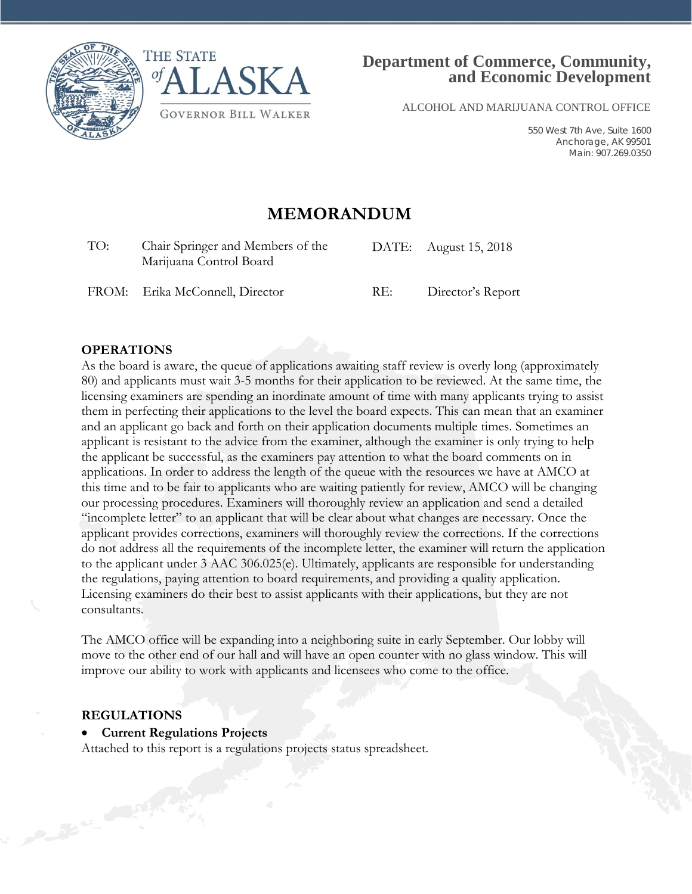



ALCOHOL AND MARIJUANA CONTROL OFFICE

550 West 7th Ave, Suite 1600 Anchorage, AK 99501 Main: 907.269.0350

# **MEMORANDUM**

| TO:<br>Chair Springer and Members of the<br>Marijuana Control Board |                                 |     | DATE: August 15, 2018 |  |
|---------------------------------------------------------------------|---------------------------------|-----|-----------------------|--|
|                                                                     | FROM: Erika McConnell, Director | RE: | Director's Report     |  |

## **OPERATIONS**

As the board is aware, the queue of applications awaiting staff review is overly long (approximately 80) and applicants must wait 3-5 months for their application to be reviewed. At the same time, the licensing examiners are spending an inordinate amount of time with many applicants trying to assist them in perfecting their applications to the level the board expects. This can mean that an examiner and an applicant go back and forth on their application documents multiple times. Sometimes an applicant is resistant to the advice from the examiner, although the examiner is only trying to help the applicant be successful, as the examiners pay attention to what the board comments on in applications. In order to address the length of the queue with the resources we have at AMCO at this time and to be fair to applicants who are waiting patiently for review, AMCO will be changing our processing procedures. Examiners will thoroughly review an application and send a detailed "incomplete letter" to an applicant that will be clear about what changes are necessary. Once the applicant provides corrections, examiners will thoroughly review the corrections. If the corrections do not address all the requirements of the incomplete letter, the examiner will return the application to the applicant under 3 AAC 306.025(e). Ultimately, applicants are responsible for understanding the regulations, paying attention to board requirements, and providing a quality application. Licensing examiners do their best to assist applicants with their applications, but they are not consultants.

The AMCO office will be expanding into a neighboring suite in early September. Our lobby will move to the other end of our hall and will have an open counter with no glass window. This will improve our ability to work with applicants and licensees who come to the office.

## **REGULATIONS**

#### • **Current Regulations Projects**

Attached to this report is a regulations projects status spreadsheet.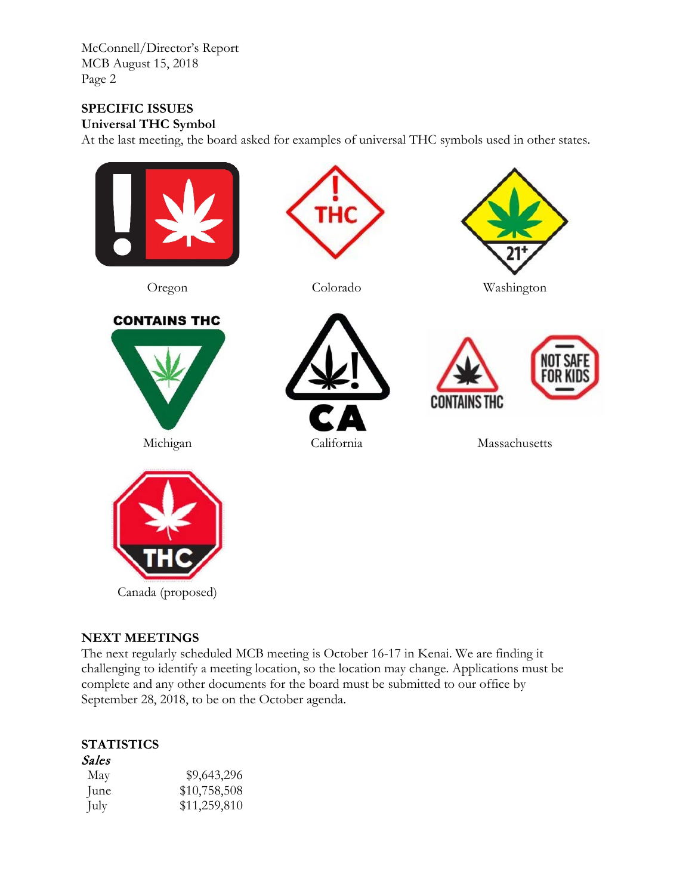McConnell/Director's Report MCB August 15, 2018 Page 2

### **SPECIFIC ISSUES Universal THC Symbol**

At the last meeting, the board asked for examples of universal THC symbols used in other states.



# **NEXT MEETINGS**

The next regularly scheduled MCB meeting is October 16-17 in Kenai. We are finding it challenging to identify a meeting location, so the location may change. Applications must be complete and any other documents for the board must be submitted to our office by September 28, 2018, to be on the October agenda.

# **STATISTICS**

| Sales |              |
|-------|--------------|
| May   | \$9,643,296  |
| June  | \$10,758,508 |
| July  | \$11,259,810 |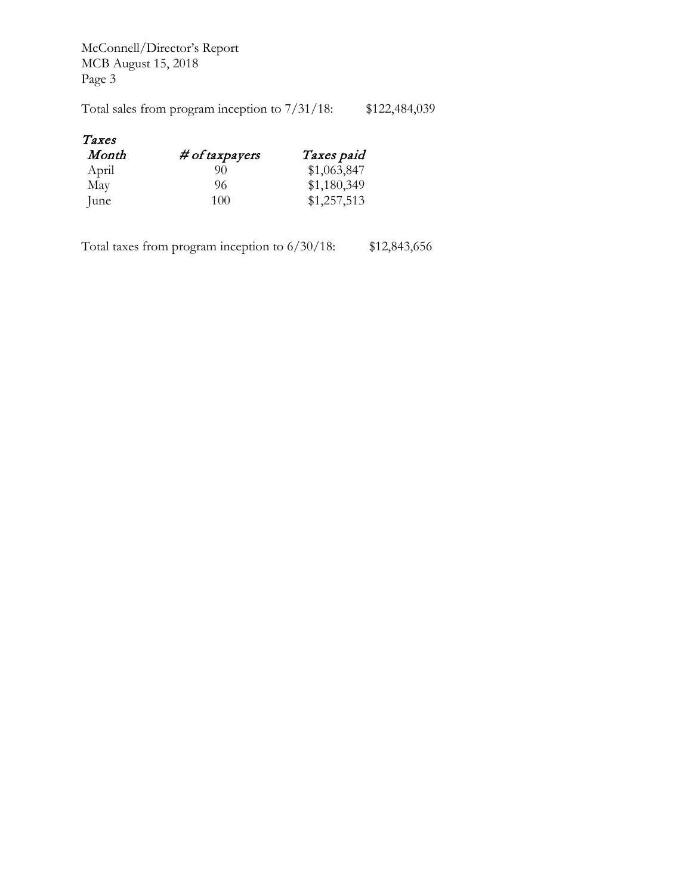McConnell/Director's Report MCB August 15, 2018 Page 3

| Total sales from program inception to 7/31/18: |  | \$122,484,039 |
|------------------------------------------------|--|---------------|
|------------------------------------------------|--|---------------|

# Taxes

| Month | $# of$ taxpayers | Taxes paid  |
|-------|------------------|-------------|
| April | 90               | \$1,063,847 |
| May   | 96               | \$1,180,349 |
| lune  | 100              | \$1,257,513 |

Total taxes from program inception to 6/30/18: \$12,843,656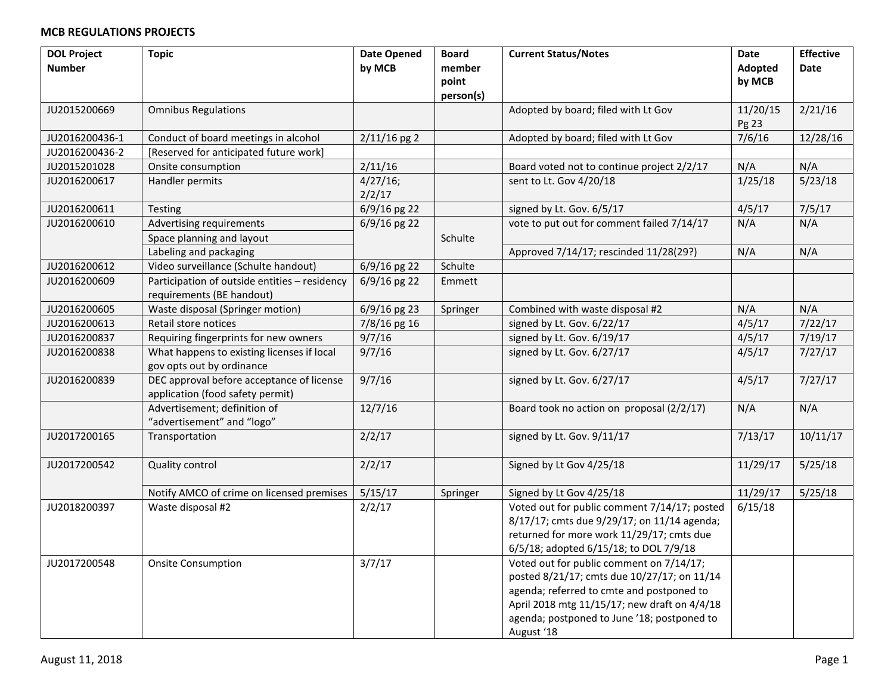# **MCB REGULATIONS PROJECTS**

| <b>DOL Project</b><br><b>Number</b> | <b>Topic</b>                                                                  | <b>Date Opened</b><br>by MCB | <b>Board</b><br>member<br>point | <b>Current Status/Notes</b>                               | <b>Date</b><br>Adopted<br>by MCB | <b>Effective</b><br>Date |
|-------------------------------------|-------------------------------------------------------------------------------|------------------------------|---------------------------------|-----------------------------------------------------------|----------------------------------|--------------------------|
|                                     |                                                                               |                              | person(s)                       |                                                           |                                  |                          |
| JU2015200669                        | <b>Omnibus Regulations</b>                                                    |                              |                                 | Adopted by board; filed with Lt Gov                       | 11/20/15<br>Pg 23                | 2/21/16                  |
| JU2016200436-1                      | Conduct of board meetings in alcohol                                          | $2/11/16$ pg 2               |                                 | Adopted by board; filed with Lt Gov                       | 7/6/16                           | 12/28/16                 |
| JU2016200436-2                      | [Reserved for anticipated future work]                                        |                              |                                 |                                                           |                                  |                          |
| JU2015201028                        | Onsite consumption                                                            | 2/11/16                      |                                 | Board voted not to continue project 2/2/17                | N/A                              | N/A                      |
| JU2016200617                        | Handler permits                                                               | 4/27/16;<br>2/2/17           |                                 | sent to Lt. Gov 4/20/18                                   | 1/25/18                          | 5/23/18                  |
| JU2016200611                        | <b>Testing</b>                                                                | $6/9/16$ pg 22               |                                 | signed by Lt. Gov. 6/5/17                                 | 4/5/17                           | 7/5/17                   |
| JU2016200610                        | Advertising requirements                                                      | $6/9/16$ pg 22               |                                 | vote to put out for comment failed 7/14/17                | N/A                              | N/A                      |
|                                     | Space planning and layout                                                     |                              | Schulte                         |                                                           |                                  |                          |
|                                     | Labeling and packaging                                                        |                              |                                 | Approved 7/14/17; rescinded 11/28(29?)                    | N/A                              | N/A                      |
| JU2016200612                        | Video surveillance (Schulte handout)                                          | 6/9/16 pg 22                 | Schulte                         |                                                           |                                  |                          |
| JU2016200609                        | Participation of outside entities - residency<br>requirements (BE handout)    | $6/9/16$ pg 22               | Emmett                          |                                                           |                                  |                          |
| JU2016200605                        | Waste disposal (Springer motion)                                              | $6/9/16$ pg 23               | Springer                        | Combined with waste disposal #2                           | N/A                              | N/A                      |
| JU2016200613                        | Retail store notices                                                          | 7/8/16 pg 16                 |                                 | signed by Lt. Gov. 6/22/17                                | 4/5/17                           | 7/22/17                  |
| JU2016200837                        | Requiring fingerprints for new owners                                         | 9/7/16                       |                                 | signed by Lt. Gov. 6/19/17                                | 4/5/17                           | 7/19/17                  |
| JU2016200838                        | What happens to existing licenses if local<br>gov opts out by ordinance       | 9/7/16                       |                                 | signed by Lt. Gov. 6/27/17                                | 4/5/17                           | 7/27/17                  |
| JU2016200839                        | DEC approval before acceptance of license<br>application (food safety permit) | 9/7/16                       |                                 | signed by Lt. Gov. 6/27/17                                | 4/5/17                           | 7/27/17                  |
|                                     | Advertisement; definition of<br>"advertisement" and "logo"                    | 12/7/16                      |                                 | Board took no action on proposal (2/2/17)                 | N/A                              | N/A                      |
| JU2017200165                        | Transportation                                                                | 2/2/17                       |                                 | signed by Lt. Gov. 9/11/17                                | 7/13/17                          | 10/11/17                 |
| JU2017200542                        | Quality control                                                               | 2/2/17                       |                                 | Signed by Lt Gov 4/25/18                                  | 11/29/17                         | 5/25/18                  |
|                                     | Notify AMCO of crime on licensed premises                                     | 5/15/17                      | Springer                        | Signed by Lt Gov 4/25/18                                  | 11/29/17                         | 5/25/18                  |
| JU2018200397                        | Waste disposal #2                                                             | 2/2/17                       |                                 | Voted out for public comment 7/14/17; posted              | 6/15/18                          |                          |
|                                     |                                                                               |                              |                                 | 8/17/17; cmts due 9/29/17; on 11/14 agenda;               |                                  |                          |
|                                     |                                                                               |                              |                                 | returned for more work 11/29/17; cmts due                 |                                  |                          |
|                                     |                                                                               |                              |                                 | 6/5/18; adopted 6/15/18; to DOL 7/9/18                    |                                  |                          |
| JU2017200548                        | <b>Onsite Consumption</b>                                                     | 3/7/17                       |                                 | Voted out for public comment on 7/14/17;                  |                                  |                          |
|                                     |                                                                               |                              |                                 | posted 8/21/17; cmts due 10/27/17; on 11/14               |                                  |                          |
|                                     |                                                                               |                              |                                 | agenda; referred to cmte and postponed to                 |                                  |                          |
|                                     |                                                                               |                              |                                 | April 2018 mtg 11/15/17; new draft on 4/4/18              |                                  |                          |
|                                     |                                                                               |                              |                                 | agenda; postponed to June '18; postponed to<br>August '18 |                                  |                          |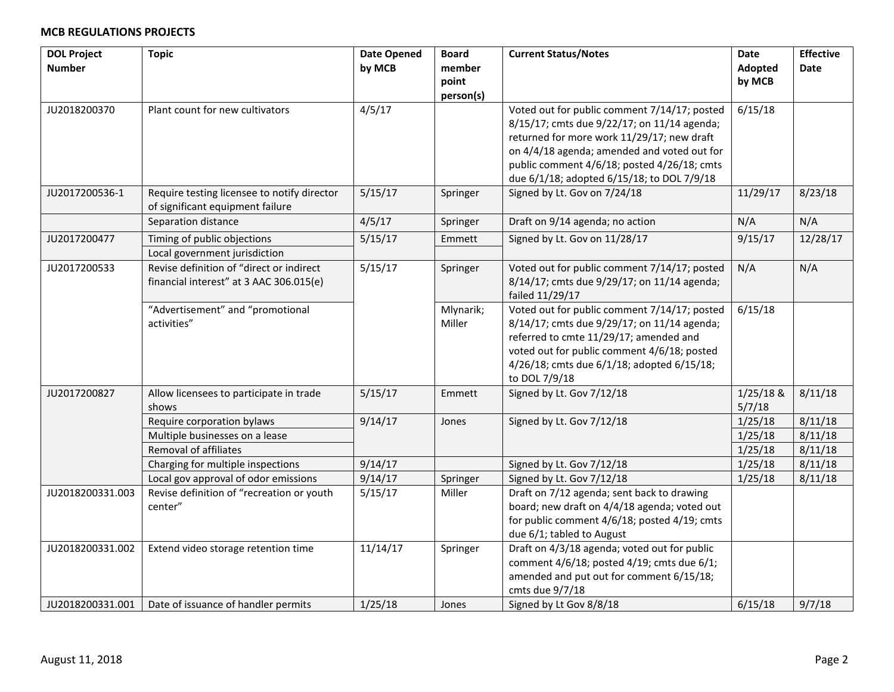# **MCB REGULATIONS PROJECTS**

| <b>DOL Project</b> | <b>Topic</b>                                | <b>Date Opened</b> | <b>Board</b> | <b>Current Status/Notes</b>                  | Date        | <b>Effective</b> |
|--------------------|---------------------------------------------|--------------------|--------------|----------------------------------------------|-------------|------------------|
| <b>Number</b>      |                                             | by MCB             | member       |                                              | Adopted     | <b>Date</b>      |
|                    |                                             |                    | point        |                                              | by MCB      |                  |
|                    |                                             |                    | person(s)    |                                              |             |                  |
| JU2018200370       | Plant count for new cultivators             | 4/5/17             |              | Voted out for public comment 7/14/17; posted | 6/15/18     |                  |
|                    |                                             |                    |              | 8/15/17; cmts due 9/22/17; on 11/14 agenda;  |             |                  |
|                    |                                             |                    |              | returned for more work 11/29/17; new draft   |             |                  |
|                    |                                             |                    |              | on 4/4/18 agenda; amended and voted out for  |             |                  |
|                    |                                             |                    |              | public comment 4/6/18; posted 4/26/18; cmts  |             |                  |
|                    |                                             |                    |              | due 6/1/18; adopted 6/15/18; to DOL 7/9/18   |             |                  |
| JU2017200536-1     | Require testing licensee to notify director | 5/15/17            | Springer     | Signed by Lt. Gov on 7/24/18                 | 11/29/17    | 8/23/18          |
|                    | of significant equipment failure            |                    |              |                                              |             |                  |
|                    | Separation distance                         | 4/5/17             | Springer     | Draft on 9/14 agenda; no action              | N/A         | N/A              |
| JU2017200477       | Timing of public objections                 | 5/15/17            | Emmett       | Signed by Lt. Gov on 11/28/17                | 9/15/17     | 12/28/17         |
|                    | Local government jurisdiction               |                    |              |                                              |             |                  |
| JU2017200533       | Revise definition of "direct or indirect    | 5/15/17            | Springer     | Voted out for public comment 7/14/17; posted | N/A         | N/A              |
|                    | financial interest" at 3 AAC 306.015(e)     |                    |              | 8/14/17; cmts due 9/29/17; on 11/14 agenda;  |             |                  |
|                    |                                             |                    |              | failed 11/29/17                              |             |                  |
|                    | "Advertisement" and "promotional            |                    | Mlynarik;    | Voted out for public comment 7/14/17; posted | 6/15/18     |                  |
|                    | activities"                                 |                    | Miller       | 8/14/17; cmts due 9/29/17; on 11/14 agenda;  |             |                  |
|                    |                                             |                    |              | referred to cmte 11/29/17; amended and       |             |                  |
|                    |                                             |                    |              | voted out for public comment 4/6/18; posted  |             |                  |
|                    |                                             |                    |              | 4/26/18; cmts due 6/1/18; adopted 6/15/18;   |             |                  |
|                    |                                             |                    |              | to DOL 7/9/18                                |             |                  |
| JU2017200827       | Allow licensees to participate in trade     | 5/15/17            | Emmett       | Signed by Lt. Gov 7/12/18                    | $1/25/18$ & | 8/11/18          |
|                    | shows                                       |                    |              |                                              | 5/7/18      |                  |
|                    | Require corporation bylaws                  | 9/14/17            | Jones        | Signed by Lt. Gov 7/12/18                    | 1/25/18     | 8/11/18          |
|                    | Multiple businesses on a lease              |                    |              |                                              | 1/25/18     | 8/11/18          |
|                    | Removal of affiliates                       |                    |              |                                              | 1/25/18     | 8/11/18          |
|                    | Charging for multiple inspections           | 9/14/17            |              | Signed by Lt. Gov 7/12/18                    | 1/25/18     | 8/11/18          |
|                    | Local gov approval of odor emissions        | 9/14/17            | Springer     | Signed by Lt. Gov 7/12/18                    | 1/25/18     | 8/11/18          |
| JU2018200331.003   | Revise definition of "recreation or youth   | 5/15/17            | Miller       | Draft on 7/12 agenda; sent back to drawing   |             |                  |
|                    | center"                                     |                    |              | board; new draft on 4/4/18 agenda; voted out |             |                  |
|                    |                                             |                    |              | for public comment 4/6/18; posted 4/19; cmts |             |                  |
|                    |                                             |                    |              | due 6/1; tabled to August                    |             |                  |
| JU2018200331.002   | Extend video storage retention time         | 11/14/17           | Springer     | Draft on 4/3/18 agenda; voted out for public |             |                  |
|                    |                                             |                    |              | comment 4/6/18; posted 4/19; cmts due 6/1;   |             |                  |
|                    |                                             |                    |              | amended and put out for comment 6/15/18;     |             |                  |
|                    |                                             |                    |              | cmts due 9/7/18                              |             |                  |
| JU2018200331.001   | Date of issuance of handler permits         | 1/25/18            | Jones        | Signed by Lt Gov 8/8/18                      | 6/15/18     | 9/7/18           |